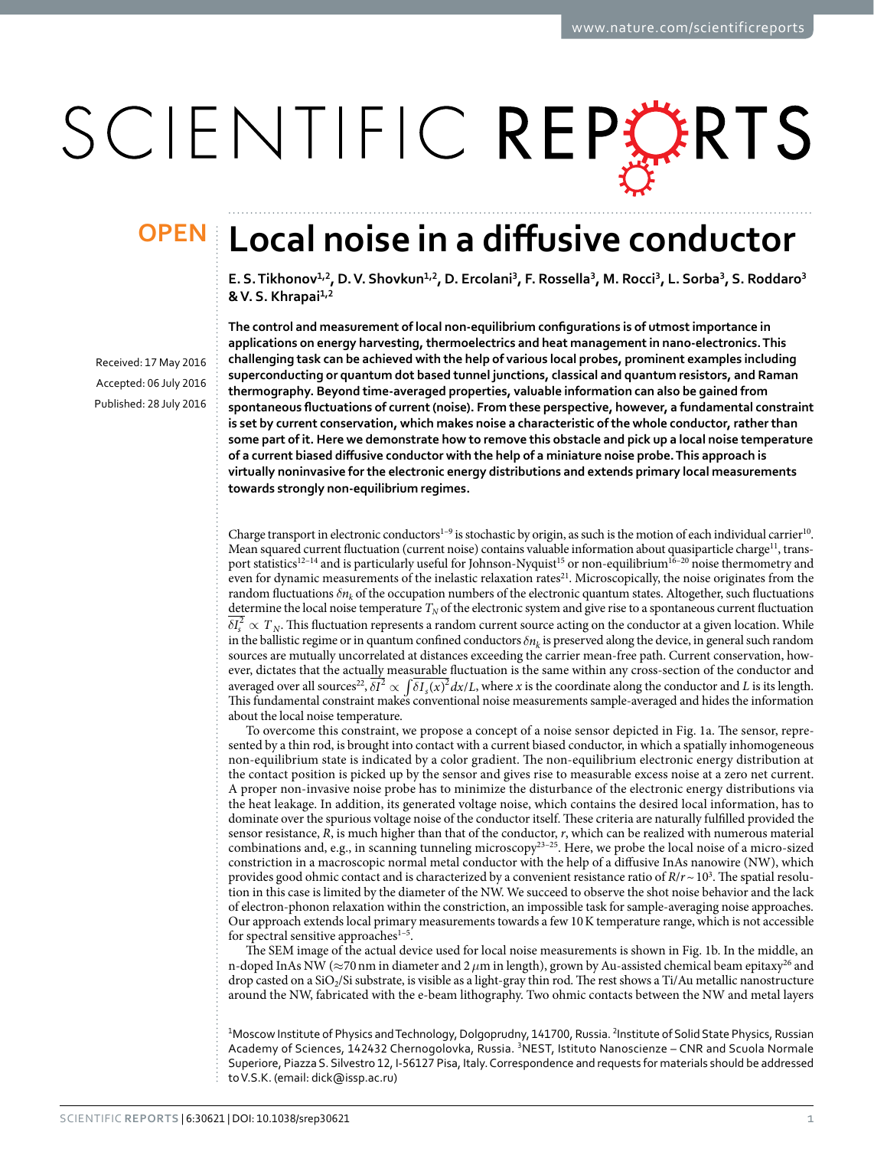# SCIENTIFIC REPERTS

## **Local noise in a diffusive conductor OPEN**

E. S. Tikhonov<sup>1,2</sup>, D. V. Shovkun<sup>1,2</sup>, D. Ercolani<sup>3</sup>, F. Rossella<sup>3</sup>, M. Rocci<sup>3</sup>, L. Sorba<sup>3</sup>, S. Roddaro<sup>3</sup> **& V. S. Khrapai1,<sup>2</sup>**

Received: 17 May 2016 accepted: 06 July 2016 Published: 28 July 2016 **The control and measurement of local non-equilibrium configurations is of utmost importance in applications on energy harvesting, thermoelectrics and heat management in nano-electronics. This challenging task can be achieved with the help of various local probes, prominent examples including superconducting or quantum dot based tunnel junctions, classical and quantum resistors, and Raman thermography. Beyond time-averaged properties, valuable information can also be gained from spontaneous fluctuations of current (noise). From these perspective, however, a fundamental constraint is set by current conservation, which makes noise a characteristic of the whole conductor, rather than some part of it. Here we demonstrate how to remove this obstacle and pick up a local noise temperature of a current biased diffusive conductor with the help of a miniature noise probe. This approach is virtually noninvasive for the electronic energy distributions and extends primary local measurements towards strongly non-equilibrium regimes.**

Charge transport in electronic conductors<sup>1-9</sup> is stochastic by origin, as such is the motion of each individual carrier<sup>10</sup>. Mean squared current fluctuation (current noise) contains valuable information about quasiparticle charge<sup>[11](#page-6-0)</sup>, transport statistics<sup>12–14</sup> and is particularly useful for Johnson-Nyquist<sup>15</sup> or non-equilibrium<sup>16–20</sup> noise thermometry and even for dynamic measurements of the inelastic relaxation rates<sup>21</sup>. Microscopically, the noise originates from the random fluctuations  $\delta n_k$  of the occupation numbers of the electronic quantum states. Altogether, such fluctuations determine the local noise temperature  $T_N$  of the electronic system and give rise to a spontaneous current fluctuation  $\delta I_s^2 \propto T_N$ . This fluctuation represents a random current source acting on the conductor at a given location. While in the ballistic regime or in quantum confined conductors  $\delta n_k$  is preserved along the device, in general such random sources are mutually uncorrelated at distances exceeding the carrier mean-free path. Current conservation, however, dictates that the actually measurable fluctuation is the same within any cross-section of the conductor and averaged over all sources<sup>[22](#page-6-5)</sup>,  $\delta I^2 \propto \int \delta I_s(x)^2 dx/L$ , where *x* is the coordinate along the conductor and *L* is its length. This fundamental constraint makes conventional noise measurements sample-averaged and hides the information about the local noise temperature.

To overcome this constraint, we propose a concept of a noise sensor depicted in [Fig. 1a](#page-1-0). The sensor, represented by a thin rod, is brought into contact with a current biased conductor, in which a spatially inhomogeneous non-equilibrium state is indicated by a color gradient. The non-equilibrium electronic energy distribution at the contact position is picked up by the sensor and gives rise to measurable excess noise at a zero net current. A proper non-invasive noise probe has to minimize the disturbance of the electronic energy distributions via the heat leakage. In addition, its generated voltage noise, which contains the desired local information, has to dominate over the spurious voltage noise of the conductor itself. These criteria are naturally fulfilled provided the sensor resistance, *R*, is much higher than that of the conductor, *r*, which can be realized with numerous material combinations and, e.g., in scanning tunneling microscopy<sup>[23–25](#page-6-6)</sup>. Here, we probe the local noise of a micro-sized constriction in a macroscopic normal metal conductor with the help of a diffusive InAs nanowire (NW), which provides good ohmic contact and is characterized by a convenient resistance ratio of *R*/*r*~103 . The spatial resolution in this case is limited by the diameter of the NW. We succeed to observe the shot noise behavior and the lack of electron-phonon relaxation within the constriction, an impossible task for sample-averaging noise approaches. Our approach extends local primary measurements towards a few 10K temperature range, which is not accessible for spectral sensitive approaches<sup>1-5</sup>.

The SEM image of the actual device used for local noise measurements is shown in [Fig. 1b](#page-1-0). In the middle, an n-doped InAs NW (≈70nm in diameter and 2*μ*m in length), grown by Au-assisted chemical beam epitaxy[26](#page-6-7) and drop casted on a SiO<sub>2</sub>/Si substrate, is visible as a light-gray thin rod. The rest shows a Ti/Au metallic nanostructure around the NW, fabricated with the e-beam lithography. Two ohmic contacts between the NW and metal layers

<sup>1</sup>Moscow Institute of Physics and Technology, Dolgoprudny, 141700, Russia. <sup>2</sup>Institute of Solid State Physics, Russian Academy of Sciences, 142432 Chernogolovka, Russia. 3NEST, Istituto Nanoscienze – CNR and Scuola Normale Superiore, Piazza S. Silvestro 12, I-56127 Pisa, Italy. Correspondence and requests for materials should be addressed to V.S.K. (email: [dick@issp.ac.ru](mailto:dick@issp.ac.ru))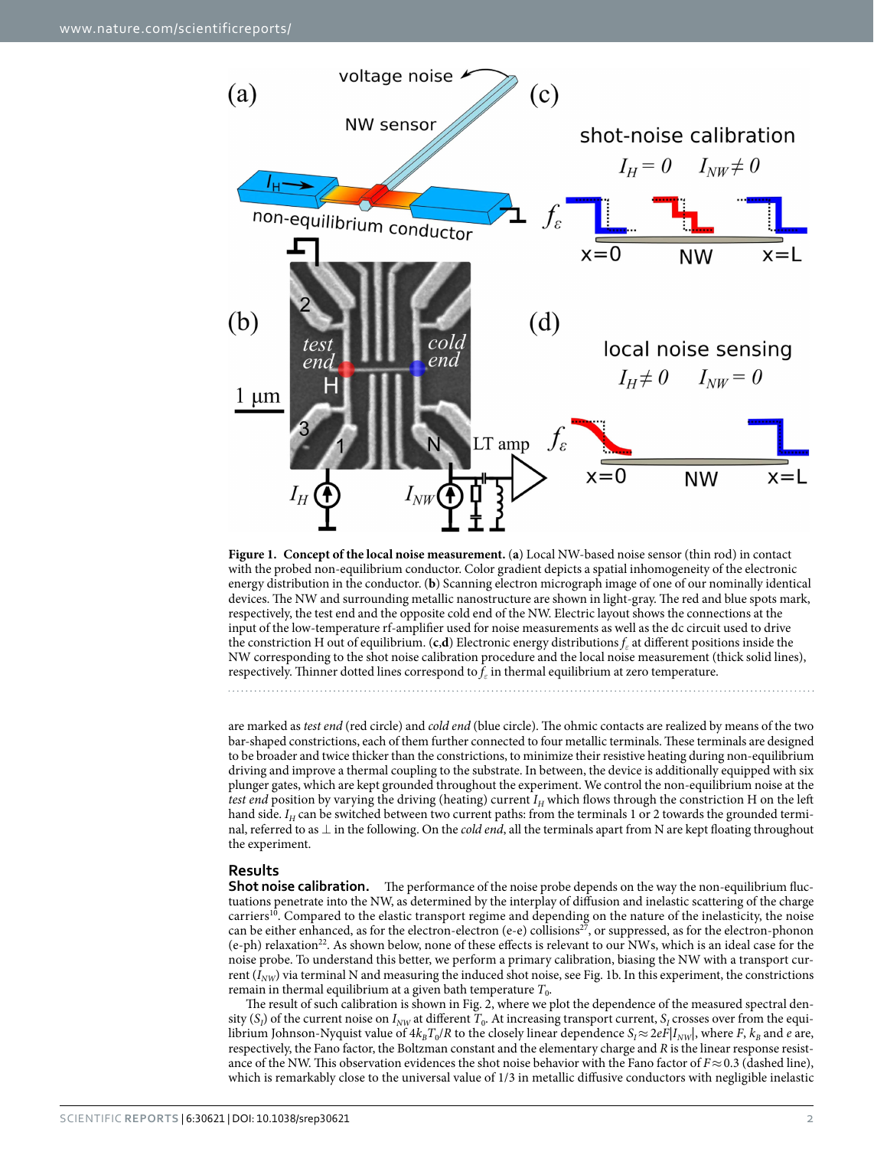

<span id="page-1-0"></span>

are marked as *test end* (red circle) and *cold end* (blue circle). The ohmic contacts are realized by means of the two bar-shaped constrictions, each of them further connected to four metallic terminals. These terminals are designed to be broader and twice thicker than the constrictions, to minimize their resistive heating during non-equilibrium driving and improve a thermal coupling to the substrate. In between, the device is additionally equipped with six plunger gates, which are kept grounded throughout the experiment. We control the non-equilibrium noise at the *test end* position by varying the driving (heating) current  $I_H$  which flows through the constriction H on the left hand side. *I<sub>H</sub>* can be switched between two current paths: from the terminals 1 or 2 towards the grounded terminal, referred to as ⊥ in the following. On the *cold end*, all the terminals apart from N are kept floating throughout the experiment.

#### **Results**

**Shot noise calibration.** The performance of the noise probe depends on the way the non-equilibrium fluctuations penetrate into the NW, as determined by the interplay of diffusion and inelastic scattering of the charge carriers<sup>[10](#page-5-1)</sup>. Compared to the elastic transport regime and depending on the nature of the inelasticity, the noise can be either enhanced, as for the electron-electron (e-e) collisions<sup>27</sup>, or suppressed, as for the electron-phonon (e-ph) relaxation<sup>22</sup>. As shown below, none of these effects is relevant to our NWs, which is an ideal case for the noise probe. To understand this better, we perform a primary calibration, biasing the NW with a transport current  $(I_{NW})$  via terminal N and measuring the induced shot noise, see [Fig. 1b](#page-1-0). In this experiment, the constrictions remain in thermal equilibrium at a given bath temperature  $T_0$ .

The result of such calibration is shown in [Fig. 2,](#page-2-0) where we plot the dependence of the measured spectral density  $(S_i)$  of the current noise on  $I_{NW}$  at different  $T_0$ . At increasing transport current,  $S_i$  crosses over from the equilibrium Johnson-Nyquist value of  $4k_BT_0/R$  to the closely linear dependence  $S_f \approx 2eFl_{Iwh}$ , where *F*,  $k_B$  and *e* are, respectively, the Fano factor, the Boltzman constant and the elementary charge and *R* is the linear response resistance of the NW. This observation evidences the shot noise behavior with the Fano factor of *F*≈0.3 (dashed line), which is remarkably close to the universal value of 1/3 in metallic diffusive conductors with negligible inelastic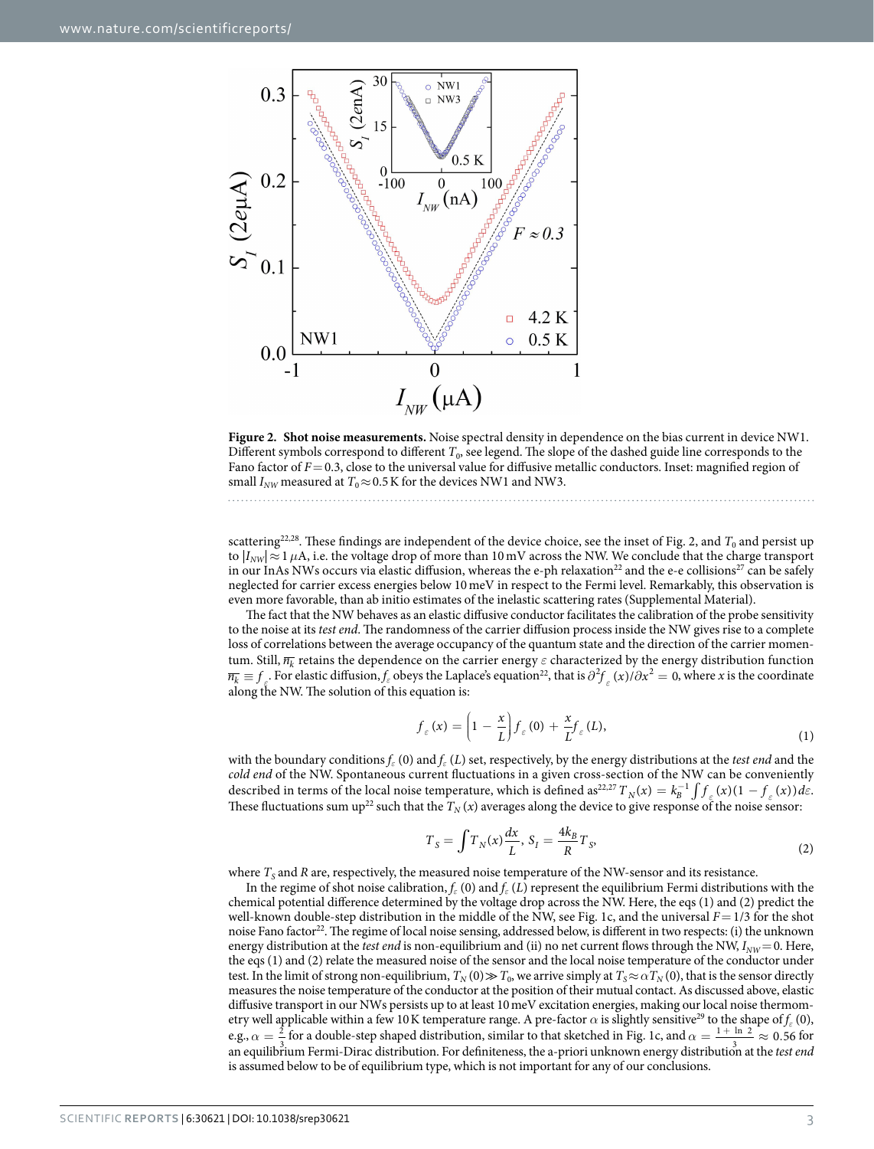

<span id="page-2-0"></span>**Figure 2. Shot noise measurements.** Noise spectral density in dependence on the bias current in device NW1. Different symbols correspond to different  $T_0$ , see legend. The slope of the dashed guide line corresponds to the Fano factor of *F*=0.3, close to the universal value for diffusive metallic conductors. Inset: magnified region of small  $I_{NW}$  measured at  $T_0 \approx 0.5$  K for the devices NW1 and NW3.

scattering<sup>22,28</sup>. These findings are independent of the device choice, see the inset of [Fig. 2,](#page-2-0) and  $T_0$  and persist up to  $|I_{NW}| \approx 1 \,\mu$ A, i.e. the voltage drop of more than 10 mV across the NW. We conclude that the charge transport in our InAs NWs occurs via elastic diffusion, whereas the e-ph relaxation<sup>22</sup> and the e-e collisions<sup>[27](#page-6-8)</sup> can be safely neglected for carrier excess energies below 10meV in respect to the Fermi level. Remarkably, this observation is even more favorable, than ab initio estimates of the inelastic scattering rates (Supplemental Material).

The fact that the NW behaves as an elastic diffusive conductor facilitates the calibration of the probe sensitivity to the noise at its *test end*. The randomness of the carrier diffusion process inside the NW gives rise to a complete loss of correlations between the average occupancy of the quantum state and the direction of the carrier momentum. Still, *nk* retains the dependence on the carrier energy *ε* characterized by the energy distribution function  $\overline{n_k} \equiv f$ . For elastic diffusion,  $f_\varepsilon$  obeys the Laplace's equation<sup>22</sup>, that is  $\partial^2 f_\varepsilon(x)/\partial x^2 = 0$ , where *x* is the coordinate along the NW. The solution of this equation is:

$$
f_{\varepsilon}(x) = \left(1 - \frac{x}{L}\right) f_{\varepsilon}(0) + \frac{x}{L} f_{\varepsilon}(L),\tag{1}
$$

with the boundary conditions *fε* (0) and *fε* (*L*) set, respectively, by the energy distributions at the *test end* and the *cold end* of the NW. Spontaneous current fluctuations in a given cross-section of the NW can be conveniently described in terms of the local noise temperature, which is defined as<sup>22,[27](#page-6-8)</sup>  $T_N(x) = k_B^{-1} \int f_{\varepsilon}(x) (1 - f_{\varepsilon}(x)) d\varepsilon$ . These fluctuations sum up<sup>22</sup> such that the  $T_N(x)$  averages along the device to give response of the noise sensor:

$$
T_S = \int T_N(x) \frac{dx}{L}, S_I = \frac{4k_B}{R} T_S,
$$
\n<sup>(2)</sup>

where  $T<sub>S</sub>$  and *R* are, respectively, the measured noise temperature of the NW-sensor and its resistance.

In the regime of shot noise calibration,  $f_{\varepsilon}(0)$  and  $f_{\varepsilon}(L)$  represent the equilibrium Fermi distributions with the chemical potential difference determined by the voltage drop across the NW. Here, the eqs (1) and (2) predict the well-known double-step distribution in the middle of the NW, see [Fig. 1c,](#page-1-0) and the universal *F*= 1/3 for the shot noise Fano factor<sup>[22](#page-6-5)</sup>. The regime of local noise sensing, addressed below, is different in two respects: (i) the unknown energy distribution at the *test end* is non-equilibrium and (ii) no net current flows through the NW,  $I_{NW}$  = 0. Here, the eqs (1) and (2) relate the measured noise of the sensor and the local noise temperature of the conductor under test. In the limit of strong non-equilibrium,  $T_N(0) \gg T_0$ , we arrive simply at  $T_S \approx \alpha T_N(0)$ , that is the sensor directly measures the noise temperature of the conductor at the position of their mutual contact. As discussed above, elastic diffusive transport in our NWs persists up to at least 10meV excitation energies, making our local noise thermometry well applicable within a few 10 K temperature range. A pre-factor  $\alpha$  is slightly sensitive<sup>[29](#page-6-10)</sup> to the shape of  $f_{\varepsilon}$  (0), e.g.,  $\alpha = \frac{2}{3}$  for a double-step shaped distribution, similar to that sketched in [Fig. 1c](#page-1-0), and  $\alpha = \frac{1 + \ln 2}{3} \approx 0.56$  for an equilibrium Fermi-Dirac distribution. For definiteness, the a-priori unknown energy distribution at the *test end* is assumed below to be of equilibrium type, which is not important for any of our conclusions.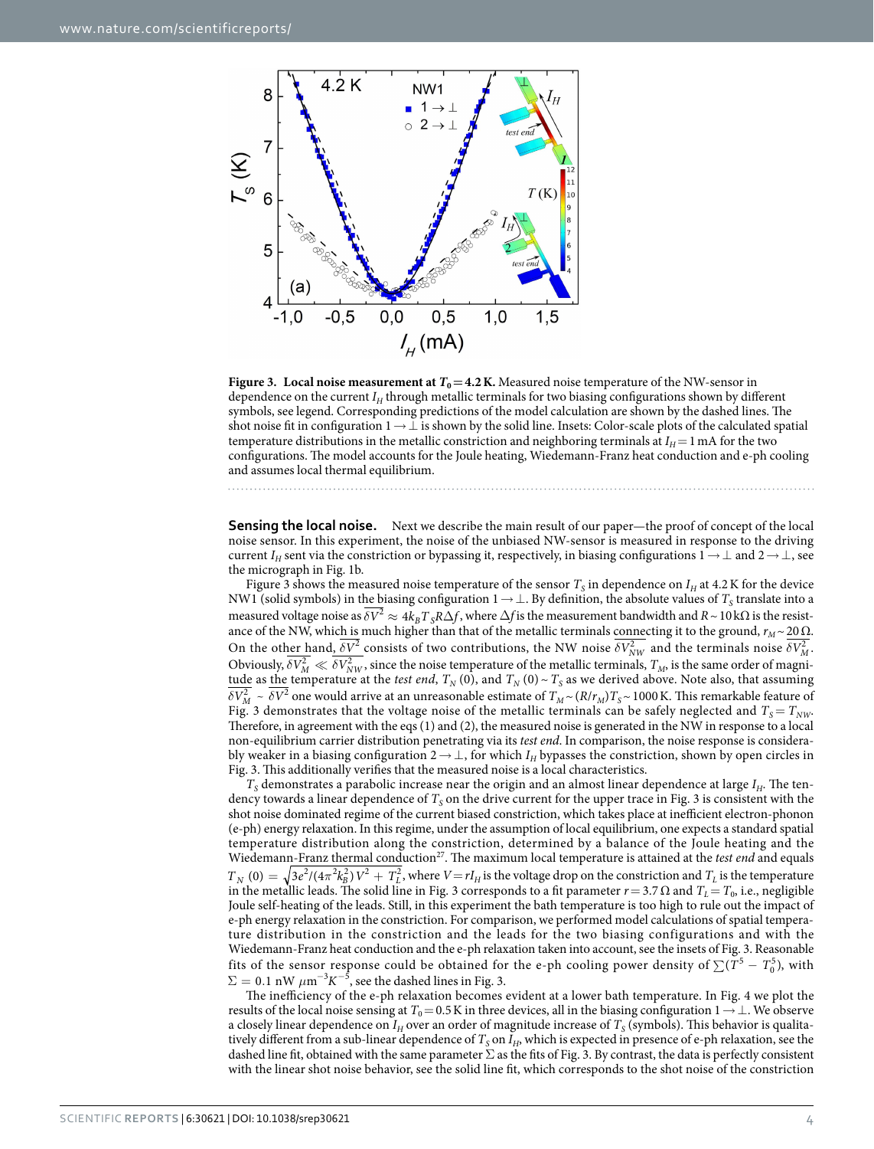

<span id="page-3-0"></span>**Figure 3. Local noise measurement at**  $T_0 = 4.2$  **K. Measured noise temperature of the NW-sensor in** dependence on the current *I<sub>H</sub>* through metallic terminals for two biasing configurations shown by different symbols, see legend. Corresponding predictions of the model calculation are shown by the dashed lines. The shot noise fit in configuration 1→⊥ is shown by the solid line. Insets: Color-scale plots of the calculated spatial temperature distributions in the metallic constriction and neighboring terminals at  $I_H$  = 1 mA for the two configurations. The model accounts for the Joule heating, Wiedemann-Franz heat conduction and e-ph cooling and assumes local thermal equilibrium.

**Sensing the local noise.** Next we describe the main result of our paper—the proof of concept of the local noise sensor. In this experiment, the noise of the unbiased NW-sensor is measured in response to the driving current *I<sub>H</sub>* sent via the constriction or bypassing it, respectively, in biasing configurations  $1 \rightarrow \perp$  and  $2 \rightarrow \perp$ , see the micrograph in [Fig. 1b](#page-1-0).

[Figure 3](#page-3-0) shows the measured noise temperature of the sensor  $T_s$  in dependence on  $I_H$  at 4.2K for the device NW1 (solid symbols) in the biasing configuration 1→⊥. By definition, the absolute values of *T<sub>S</sub>* translate into a measured voltage noise as  $\delta V^2 \approx 4k_B T_S R \Delta f$ , where  $\Delta f$  is the measurement bandwidth and  $R \sim 10$  kΩ is the resistance of the NW, which is much higher than that of the metallic terminals connecting it to the ground,  $r_M \sim 20 \Omega$ . On the other hand,  $\delta V^2$  consists of two contributions, the NW noise  $\delta V^2_{NW}$  and the terminals noise  $\delta V^2_M$ . Obviously,  $\delta V_M^2 \ll \delta V_{NW}^2$ , since the noise temperature of the metallic terminals,  $T_M$ , is the same order of magni-<u>tude</u> as <u>the</u> temperature at the *test end*,  $T_N(0)$ , and  $T_N(0) \sim T_S$  as we derived above. Note also, that assuming  $\frac{\partial V_M^2}{\partial V_M^2}$   $\sim \frac{\partial V^2}{\partial V_M^2}$  one would arrive at an unreasonable estimate of  $T_M \sim (R/r_M)T_S \sim 1000$  K. This remarkable feature of [Fig. 3](#page-3-0) demonstrates that the voltage noise of the metallic terminals can be safely neglected and  $T_s = T_{NW}$ . Therefore, in agreement with the eqs (1) and (2), the measured noise is generated in the NW in response to a local non-equilibrium carrier distribution penetrating via its *test end*. In comparison, the noise response is considerably weaker in a biasing configuration 2→ ⊥, for which *IH* bypasses the constriction, shown by open circles in [Fig. 3](#page-3-0). This additionally verifies that the measured noise is a local characteristics.

 $T<sub>S</sub>$  demonstrates a parabolic increase near the origin and an almost linear dependence at large  $I<sub>H</sub>$ . The tendency towards a linear dependence of  $T<sub>S</sub>$  on the drive current for the upper trace in [Fig. 3](#page-3-0) is consistent with the shot noise dominated regime of the current biased constriction, which takes place at inefficient electron-phonon (e-ph) energy relaxation. In this regime, under the assumption of local equilibrium, one expects a standard spatial temperature distribution along the constriction, determined by a balance of the Joule heating and the Wiedemann-Franz thermal conduction<sup>27</sup>. The maximum local temperature is attained at the *test end* and equals  $T_N(0) = \sqrt{3e^2/(4\pi^2k_B^2)}V^2 + T_L^2$ , where  $V = rI_H$  is the voltage drop on the constriction and  $T_L$  is the temperature in the metallic leads. The solid line in [Fig. 3](#page-3-0) corresponds to a fit parameter  $r = 3.7 Ω$  and  $T_L = T_0$ , i.e., negligible Joule self-heating of the leads. Still, in this experiment the bath temperature is too high to rule out the impact of e-ph energy relaxation in the constriction. For comparison, we performed model calculations of spatial temperature distribution in the constriction and the leads for the two biasing configurations and with the Wiedemann-Franz heat conduction and the e-ph relaxation taken into account, see the insets of [Fig. 3.](#page-3-0) Reasonable fits of the sensor response could be obtained for the e-ph cooling power density of  $\sum (T^5 - T_0^5)$ , with  $\Sigma=0.1$  nW  $\mu\text{m}^{-3}$ K $^{-5}$ , see the dashed lines in [Fig. 3.](#page-3-0)

The inefficiency of the e-ph relaxation becomes evident at a lower bath temperature. In [Fig. 4](#page-4-0) we plot the results of the local noise sensing at  $T_0$ =0.5K in three devices, all in the biasing configuration 1→⊥. We observe a closely linear dependence on  $I_H$  over an order of magnitude increase of  $T_S$  (symbols). This behavior is qualitatively different from a sub-linear dependence of  $T<sub>S</sub>$  on  $I<sub>H</sub>$ , which is expected in presence of e-ph relaxation, see the dashed line fit, obtained with the same parameter  $\Sigma$  as the fits of [Fig. 3](#page-3-0). By contrast, the data is perfectly consistent with the linear shot noise behavior, see the solid line fit, which corresponds to the shot noise of the constriction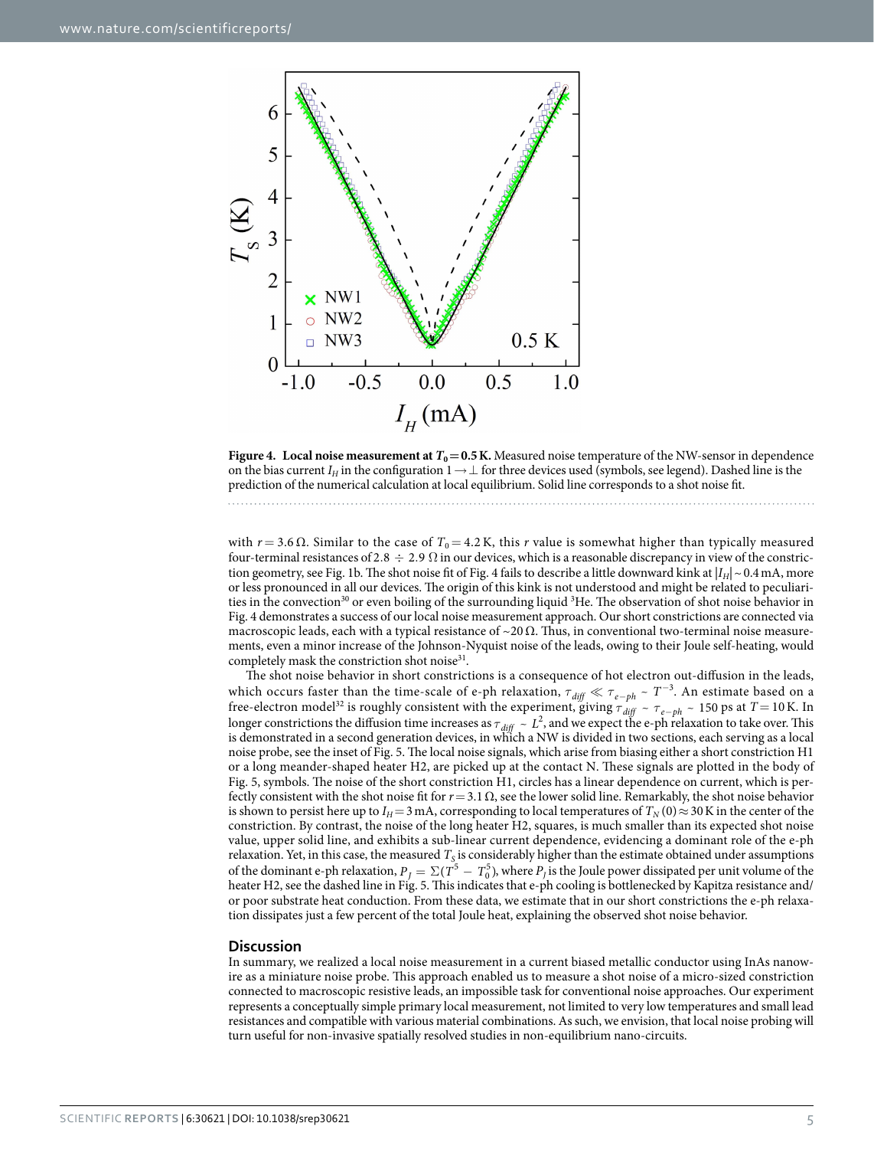

<span id="page-4-0"></span>**Figure 4.** Local noise measurement at  $T_0 = 0.5$  K. Measured noise temperature of the NW-sensor in dependence on the bias current  $I_H$  in the configuration  $1 \to \perp$  for three devices used (symbols, see legend). Dashed line is the prediction of the numerical calculation at local equilibrium. Solid line corresponds to a shot noise fit.

with  $r = 3.6$  Ω. Similar to the case of  $T_0 = 4.2$  K, this *r* value is somewhat higher than typically measured four-terminal resistances of 2.8  $\div$  2.9  $\Omega$  in our devices, which is a reasonable discrepancy in view of the constric-tion geometry, see [Fig. 1b.](#page-1-0) The shot noise fit of [Fig. 4](#page-4-0) fails to describe a little downward kink at  $|I_H| \sim 0.4$  mA, more or less pronounced in all our devices. The origin of this kink is not understood and might be related to peculiarities in the convection<sup>30</sup> or even boiling of the surrounding liquid <sup>3</sup>He. The observation of shot noise behavior in [Fig. 4](#page-4-0) demonstrates a success of our local noise measurement approach. Our short constrictions are connected via macroscopic leads, each with a typical resistance of  $\sim$ 20  $\Omega$ . Thus, in conventional two-terminal noise measurements, even a minor increase of the Johnson-Nyquist noise of the leads, owing to their Joule self-heating, would completely mask the constriction shot noise<sup>31</sup>.

The shot noise behavior in short constrictions is a consequence of hot electron out-diffusion in the leads, which occurs faster than the time-scale of e-ph relaxation,  $\tau_{diff} \ll \tau_{e-ph} \sim T^{-3}$ . An estimate based on a free-electron model<sup>32</sup> is roughly consistent with the experiment, giving  $\tau_{diff} \sim \tau_{e-ph} \sim 150$  ps at  $T = 10$  K. In longer constrictions the diffusion time increases as  $\tau_{diff} \sim L^2$ , and we expect the e-ph relaxation to take over. This is demonstrated in a second generation devices, in which a NW is divided in two sections, each serving as a local noise probe, see the inset of [Fig. 5](#page-5-2). The local noise signals, which arise from biasing either a short constriction H1 or a long meander-shaped heater H2, are picked up at the contact N. These signals are plotted in the body of [Fig. 5](#page-5-2), symbols. The noise of the short constriction H1, circles has a linear dependence on current, which is perfectly consistent with the shot noise fit for *r*=3.1Ω, see the lower solid line. Remarkably, the shot noise behavior is shown to persist here up to *I<sub>H</sub>*=3 mA, corresponding to local temperatures of  $T_N(0) \approx 30$  K in the center of the constriction. By contrast, the noise of the long heater H2, squares, is much smaller than its expected shot noise value, upper solid line, and exhibits a sub-linear current dependence, evidencing a dominant role of the e-ph relaxation. Yet, in this case, the measured *T<sub>S</sub>* is considerably higher than the estimate obtained under assumptions of the dominant e-ph relaxation,  $P_J = \Sigma (T^5 - T_0^5)$ , where  $P_J$  is the Joule power dissipated per unit volume of the heater H2, see the dashed line in [Fig. 5.](#page-5-2) This indicates that e-ph cooling is bottlenecked by Kapitza resistance and/ or poor substrate heat conduction. From these data, we estimate that in our short constrictions the e-ph relaxation dissipates just a few percent of the total Joule heat, explaining the observed shot noise behavior.

#### **Discussion**

In summary, we realized a local noise measurement in a current biased metallic conductor using InAs nanowire as a miniature noise probe. This approach enabled us to measure a shot noise of a micro-sized constriction connected to macroscopic resistive leads, an impossible task for conventional noise approaches. Our experiment represents a conceptually simple primary local measurement, not limited to very low temperatures and small lead resistances and compatible with various material combinations. As such, we envision, that local noise probing will turn useful for non-invasive spatially resolved studies in non-equilibrium nano-circuits.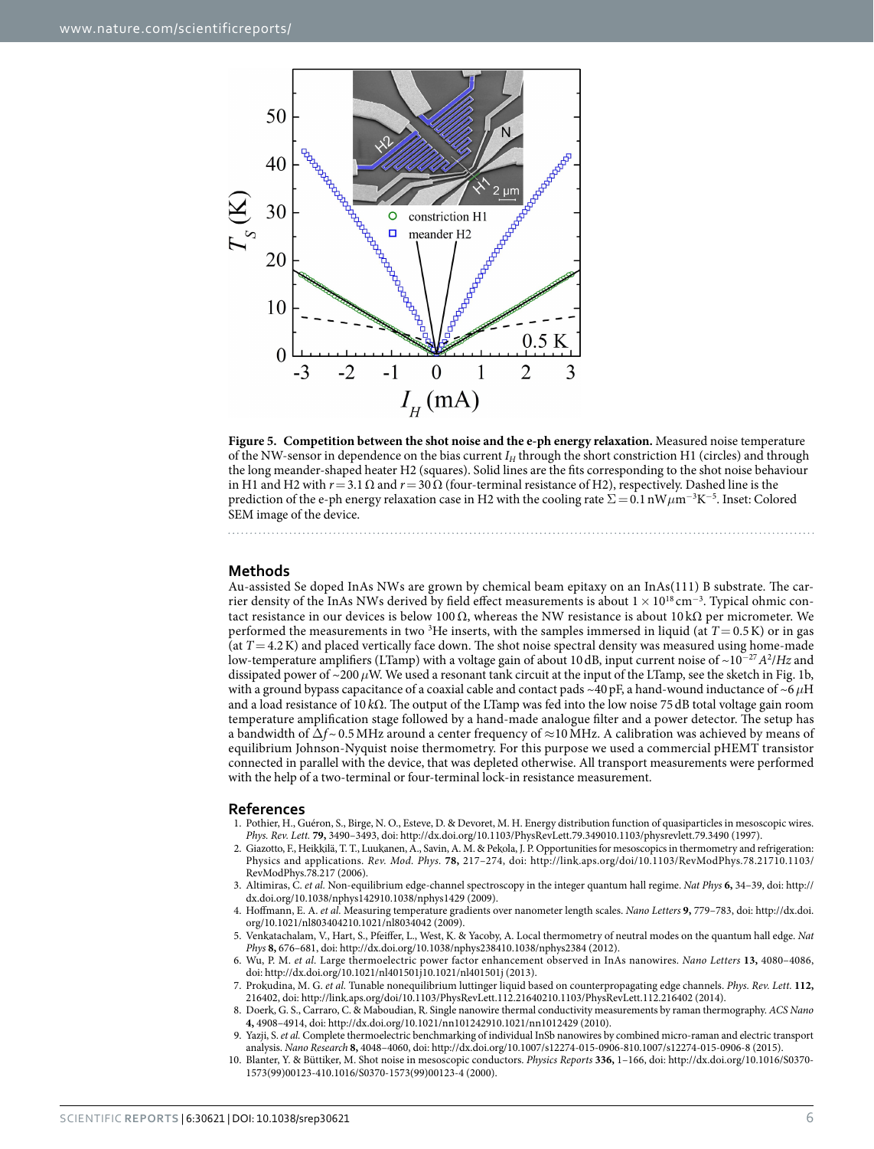

<span id="page-5-2"></span>**Figure 5. Competition between the shot noise and the e-ph energy relaxation.** Measured noise temperature of the NW-sensor in dependence on the bias current *I<sub>H</sub>* through the short constriction H1 (circles) and through the long meander-shaped heater H2 (squares). Solid lines are the fits corresponding to the shot noise behaviour in H1 and H2 with  $r=3.1$  Ω and  $r=30$  Ω (four-terminal resistance of H2), respectively. Dashed line is the prediction of the e-ph energy relaxation case in H2 with the cooling rate  $\Sigma = 0.1 \text{ nW} \mu \text{m}^{-3} \text{K}^{-5}$ . Inset: Colored SEM image of the device.

#### **Methods**

Au-assisted Se doped InAs NWs are grown by chemical beam epitaxy on an InAs(111) B substrate. The carrier density of the InAs NWs derived by field effect measurements is about  $1 \times 10^{18}$  cm<sup>-3</sup>. Typical ohmic contact resistance in our devices is below 100 Ω, whereas the NW resistance is about 10 kΩ per micrometer. We performed the measurements in two 3 He inserts, with the samples immersed in liquid (at *T*= 0.5K) or in gas (at *T*= 4.2K) and placed vertically face down. The shot noise spectral density was measured using home-made low-temperature amplifiers (LTamp) with a voltage gain of about 10 dB, input current noise of ~10<sup>−</sup><sup>27</sup>*A*<sup>2</sup> /*Hz* and dissipated power of ~200*μ*W. We used a resonant tank circuit at the input of the LTamp, see the sketch in [Fig. 1b,](#page-1-0) with a ground bypass capacitance of a coaxial cable and contact pads ~40pF, a hand-wound inductance of ~6*μ*H and a load resistance of 10 *k*Ω. The output of the LTamp was fed into the low noise 75 dB total voltage gain room temperature amplification stage followed by a hand-made analogue filter and a power detector. The setup has a bandwidth of  $\Delta f$ ~0.5 MHz around a center frequency of ≈10 MHz. A calibration was achieved by means of equilibrium Johnson-Nyquist noise thermometry. For this purpose we used a commercial pHEMT transistor connected in parallel with the device, that was depleted otherwise. All transport measurements were performed with the help of a two-terminal or four-terminal lock-in resistance measurement.

#### **References**

- <span id="page-5-0"></span>1. Pothier, H., Guéron, S., Birge, N. O., Esteve, D. & Devoret, M. H. Energy distribution function of quasiparticles in mesoscopic wires. *Phys. Rev. Lett.* **79,** 3490–3493, doi: http://dx.doi.org/10.1103/PhysRevLett.79.349010.1103/physrevlett.79.3490 (1997).
- 2. Giazotto, F., Heikkilä, T. T., Luukanen, A., Savin, A. M. & Pekola, J. P. Opportunities for mesoscopics in thermometry and refrigeration: Physics and applications. *Rev. Mod. Phys.* **78,** 217–274, doi: http://link.aps.org/doi/10.1103/RevModPhys.78.21710.1103/ RevModPhys.78.217 (2006).
- 3. Altimiras, C. *et al.* Non-equilibrium edge-channel spectroscopy in the integer quantum hall regime. *Nat Phys* **6,** 34–39, doi: http:// dx.doi.org/10.1038/nphys142910.1038/nphys1429 (2009).
- 4. Hoffmann, E. A. *et al.* Measuring temperature gradients over nanometer length scales. *Nano Letters* **9,** 779–783, doi: http://dx.doi. org/10.1021/nl803404210.1021/nl8034042 (2009).
- 5. Venkatachalam, V., Hart, S., Pfeiffer, L., West, K. & Yacoby, A. Local thermometry of neutral modes on the quantum hall edge. *Nat Phys* **8,** 676–681, doi: http://dx.doi.org/10.1038/nphys238410.1038/nphys2384 (2012).
- 6. Wu, P. M. *et al.* Large thermoelectric power factor enhancement observed in InAs nanowires. *Nano Letters* **13,** 4080–4086, doi: http://dx.doi.org/10.1021/nl401501j10.1021/nl401501j (2013).
- 7. Prokudina, M. G. *et al.* Tunable nonequilibrium luttinger liquid based on counterpropagating edge channels. *Phys. Rev. Lett.* **112,** 216402, doi: http://link.aps.org/doi/10.1103/PhysRevLett.112.21640210.1103/PhysRevLett.112.216402 (2014).
- 8. Doerk, G. S., Carraro, C. & Maboudian, R. Single nanowire thermal conductivity measurements by raman thermography. *ACS Nano* **4,** 4908–4914, doi: http://dx.doi.org/10.1021/nn101242910.1021/nn1012429 (2010).
- Yazji, S. et al. Complete thermoelectric benchmarking of individual InSb nanowires by combined micro-raman and electric transport analysis. *Nano Research* **8,** 4048–4060, doi: http://dx.doi.org/10.1007/s12274-015-0906-810.1007/s12274-015-0906-8 (2015).
- <span id="page-5-1"></span>10. Blanter, Y. & Büttiker, M. Shot noise in mesoscopic conductors. *Physics Reports* **336,** 1–166, doi: http://dx.doi.org/10.1016/S0370- 1573(99)00123-410.1016/S0370-1573(99)00123-4 (2000).